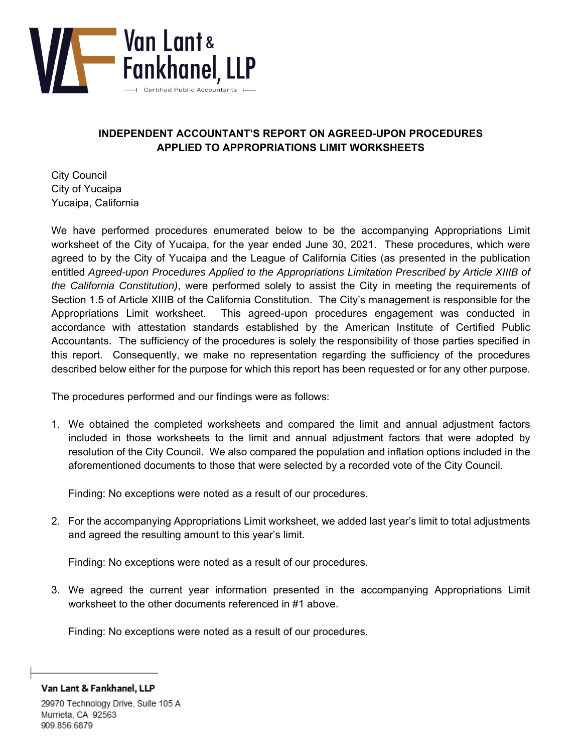

## **INDEPENDENT ACCOUNTANT'S REPORT ON AGREED-UPON PROCEDURES APPLIED TO APPROPRIATIONS LIMIT WORKSHEETS**

City Council City of Yucaipa Yucaipa, California

We have performed procedures enumerated below to be the accompanying Appropriations Limit worksheet of the City of Yucaipa, for the year ended June 30, 2021. These procedures, which were agreed to by the City of Yucaipa and the League of California Cities (as presented in the publication entitled *Agreed-upon Procedures Applied to the Appropriations Limitation Prescribed by Article XIIIB of the California Constitution)*, were performed solely to assist the City in meeting the requirements of Section 1.5 of Article XIIIB of the California Constitution. The City's management is responsible for the Appropriations Limit worksheet. This agreed-upon procedures engagement was conducted in accordance with attestation standards established by the American Institute of Certified Public Accountants. The sufficiency of the procedures is solely the responsibility of those parties specified in this report. Consequently, we make no representation regarding the sufficiency of the procedures described below either for the purpose for which this report has been requested or for any other purpose.

The procedures performed and our findings were as follows:

1. We obtained the completed worksheets and compared the limit and annual adjustment factors included in those worksheets to the limit and annual adjustment factors that were adopted by resolution of the City Council. We also compared the population and inflation options included in the aforementioned documents to those that were selected by a recorded vote of the City Council.

Finding: No exceptions were noted as a result of our procedures.

2. For the accompanying Appropriations Limit worksheet, we added last year's limit to total adjustments and agreed the resulting amount to this year's limit.

Finding: No exceptions were noted as a result of our procedures.

3. We agreed the current year information presented in the accompanying Appropriations Limit worksheet to the other documents referenced in #1 above.

Finding: No exceptions were noted as a result of our procedures.

Van Lant & Fankhanel, LLP

29970 Technology Drive, Suite 105 A Murrieta, CA 92563 909.856.6879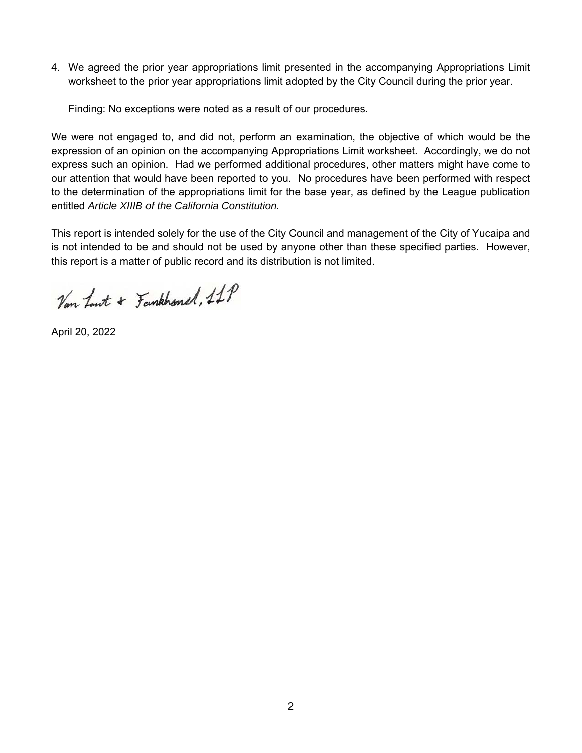4. We agreed the prior year appropriations limit presented in the accompanying Appropriations Limit worksheet to the prior year appropriations limit adopted by the City Council during the prior year.

Finding: No exceptions were noted as a result of our procedures.

We were not engaged to, and did not, perform an examination, the objective of which would be the expression of an opinion on the accompanying Appropriations Limit worksheet. Accordingly, we do not express such an opinion. Had we performed additional procedures, other matters might have come to our attention that would have been reported to you. No procedures have been performed with respect to the determination of the appropriations limit for the base year, as defined by the League publication entitled *Article XIIIB of the California Constitution.* 

This report is intended solely for the use of the City Council and management of the City of Yucaipa and is not intended to be and should not be used by anyone other than these specified parties. However, this report is a matter of public record and its distribution is not limited.

Van Lout + Fankhonel, 11P

April 20, 2022